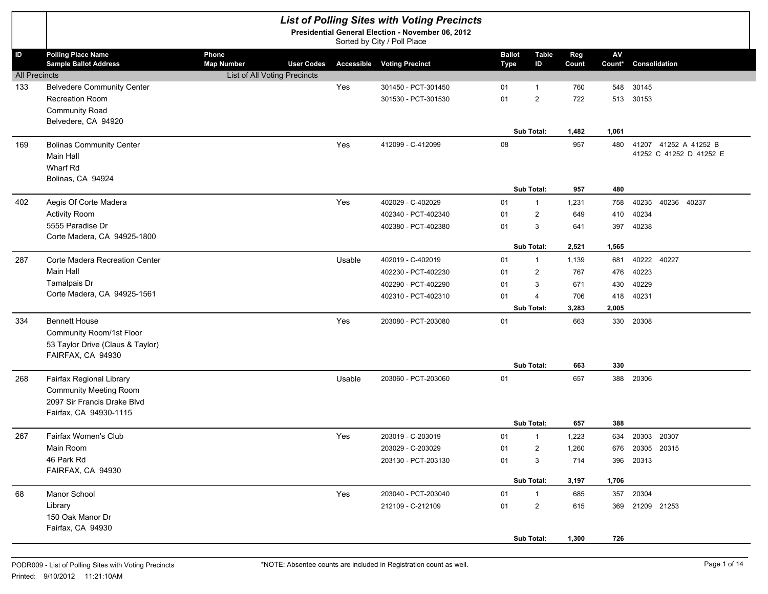|                      | <b>List of Polling Sites with Voting Precincts</b><br>Presidential General Election - November 06, 2012<br>Sorted by City / Poll Place |                                                                        |        |                                   |               |                            |              |              |                 |                                                  |  |
|----------------------|----------------------------------------------------------------------------------------------------------------------------------------|------------------------------------------------------------------------|--------|-----------------------------------|---------------|----------------------------|--------------|--------------|-----------------|--------------------------------------------------|--|
| ID                   | <b>Polling Place Name</b><br><b>Sample Ballot Address</b>                                                                              | Phone                                                                  |        |                                   | <b>Ballot</b> | <b>Table</b>               | Reg          | AV           |                 |                                                  |  |
| <b>All Precincts</b> |                                                                                                                                        | <b>Map Number</b><br><b>User Codes</b><br>List of All Voting Precincts |        | <b>Accessible Voting Precinct</b> | <b>Type</b>   | ID                         | Count        | Count*       | Consolidation   |                                                  |  |
| 133                  | <b>Belvedere Community Center</b>                                                                                                      |                                                                        | Yes    | 301450 - PCT-301450               | 01            | $\mathbf{1}$               | 760          | 548          | 30145           |                                                  |  |
|                      | <b>Recreation Room</b>                                                                                                                 |                                                                        |        | 301530 - PCT-301530               | 01            | $\overline{2}$             | 722          | 513          | 30153           |                                                  |  |
|                      | <b>Community Road</b>                                                                                                                  |                                                                        |        |                                   |               |                            |              |              |                 |                                                  |  |
|                      | Belvedere, CA 94920                                                                                                                    |                                                                        |        |                                   |               |                            |              |              |                 |                                                  |  |
|                      |                                                                                                                                        |                                                                        |        |                                   |               | Sub Total:                 | 1,482        | 1,061        |                 |                                                  |  |
| 169                  | <b>Bolinas Community Center</b><br>Main Hall                                                                                           |                                                                        | Yes    | 412099 - C-412099                 | 08            |                            | 957          | 480          |                 | 41207 41252 A 41252 B<br>41252 C 41252 D 41252 E |  |
|                      | Wharf Rd                                                                                                                               |                                                                        |        |                                   |               |                            |              |              |                 |                                                  |  |
|                      | Bolinas, CA 94924                                                                                                                      |                                                                        |        |                                   |               |                            |              |              |                 |                                                  |  |
|                      |                                                                                                                                        |                                                                        |        |                                   |               | Sub Total:                 | 957          | 480          |                 |                                                  |  |
| 402                  | Aegis Of Corte Madera                                                                                                                  |                                                                        | Yes    | 402029 - C-402029                 | 01            | $\mathbf{1}$               | 1,231        | 758          | 40235           | 40236 40237                                      |  |
|                      | <b>Activity Room</b>                                                                                                                   |                                                                        |        | 402340 - PCT-402340               | 01            | $\overline{2}$             | 649          | 410          | 40234           |                                                  |  |
|                      | 5555 Paradise Dr                                                                                                                       |                                                                        |        | 402380 - PCT-402380               | 01            | 3                          | 641          | 397          | 40238           |                                                  |  |
|                      | Corte Madera, CA 94925-1800                                                                                                            |                                                                        |        |                                   |               | Sub Total:                 | 2,521        | 1,565        |                 |                                                  |  |
| 287                  | Corte Madera Recreation Center                                                                                                         |                                                                        |        | 402019 - C-402019                 | 01            | $\mathbf{1}$               |              | 681          | 40222 40227     |                                                  |  |
|                      | Main Hall                                                                                                                              |                                                                        | Usable | 402230 - PCT-402230               | 01            | $\overline{2}$             | 1,139<br>767 | 476          | 40223           |                                                  |  |
|                      | Tamalpais Dr                                                                                                                           |                                                                        |        | 402290 - PCT-402290               | 01            | 3                          | 671          | 430          | 40229           |                                                  |  |
|                      | Corte Madera, CA 94925-1561                                                                                                            |                                                                        |        | 402310 - PCT-402310               | 01            | $\overline{4}$             | 706          | 418          | 40231           |                                                  |  |
|                      |                                                                                                                                        |                                                                        |        |                                   |               | Sub Total:                 | 3,283        | 2,005        |                 |                                                  |  |
| 334                  | <b>Bennett House</b>                                                                                                                   |                                                                        | Yes    | 203080 - PCT-203080               | 01            |                            | 663          | 330          | 20308           |                                                  |  |
|                      | Community Room/1st Floor                                                                                                               |                                                                        |        |                                   |               |                            |              |              |                 |                                                  |  |
|                      | 53 Taylor Drive (Claus & Taylor)                                                                                                       |                                                                        |        |                                   |               |                            |              |              |                 |                                                  |  |
|                      | FAIRFAX, CA 94930                                                                                                                      |                                                                        |        |                                   |               |                            |              |              |                 |                                                  |  |
|                      |                                                                                                                                        |                                                                        |        |                                   |               | Sub Total:                 | 663          | 330          |                 |                                                  |  |
| 268                  | Fairfax Regional Library                                                                                                               |                                                                        | Usable | 203060 - PCT-203060               | 01            |                            | 657          | 388          | 20306           |                                                  |  |
|                      | <b>Community Meeting Room</b>                                                                                                          |                                                                        |        |                                   |               |                            |              |              |                 |                                                  |  |
|                      | 2097 Sir Francis Drake Blvd<br>Fairfax, CA 94930-1115                                                                                  |                                                                        |        |                                   |               |                            |              |              |                 |                                                  |  |
|                      |                                                                                                                                        |                                                                        |        |                                   |               | Sub Total:                 | 657          | 388          |                 |                                                  |  |
| 267                  | Fairfax Women's Club                                                                                                                   |                                                                        | Yes    | 203019 - C-203019                 | 01            | $\mathbf{1}$               | 1,223        | 634          | 20303 20307     |                                                  |  |
|                      | Main Room                                                                                                                              |                                                                        |        | 203029 - C-203029                 | $01\,$        | $\overline{\mathbf{c}}$    | 1,260        |              | 676 20305 20315 |                                                  |  |
|                      | 46 Park Rd                                                                                                                             |                                                                        |        | 203130 - PCT-203130               | 01            | 3                          | 714          | 396          | 20313           |                                                  |  |
|                      | FAIRFAX, CA 94930                                                                                                                      |                                                                        |        |                                   |               |                            |              |              |                 |                                                  |  |
| 68                   | Manor School                                                                                                                           |                                                                        | Yes    | 203040 - PCT-203040               | 01            | Sub Total:<br>$\mathbf{1}$ | 3,197<br>685 | 1,706<br>357 | 20304           |                                                  |  |
|                      | Library                                                                                                                                |                                                                        |        | 212109 - C-212109                 | 01            | $\overline{2}$             | 615          | 369          | 21209 21253     |                                                  |  |
|                      | 150 Oak Manor Dr                                                                                                                       |                                                                        |        |                                   |               |                            |              |              |                 |                                                  |  |
|                      | Fairfax, CA 94930                                                                                                                      |                                                                        |        |                                   |               |                            |              |              |                 |                                                  |  |
|                      |                                                                                                                                        |                                                                        |        |                                   |               | Sub Total:                 | 1,300        | 726          |                 |                                                  |  |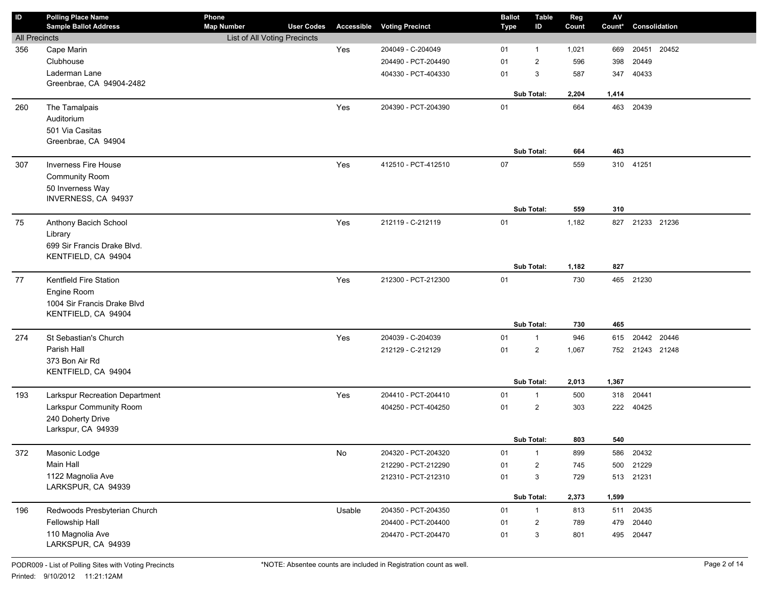| ID                   | <b>Polling Place Name</b>      | Phone                        |                   |               |                        | <b>Ballot</b> | <b>Table</b>   | Reg        | ${\sf AV}$ |                        |  |
|----------------------|--------------------------------|------------------------------|-------------------|---------------|------------------------|---------------|----------------|------------|------------|------------------------|--|
|                      | <b>Sample Ballot Address</b>   | <b>Map Number</b>            | <b>User Codes</b> | Accessible    | <b>Voting Precinct</b> | <b>Type</b>   | ID             | Count      | Count*     | Consolidation          |  |
| <b>All Precincts</b> |                                | List of All Voting Precincts |                   |               |                        |               |                |            |            |                        |  |
| 356                  | Cape Marin                     |                              |                   | Yes           | 204049 - C-204049      | 01            | $\mathbf{1}$   | 1,021      | 669        | 20451<br>20452         |  |
|                      | Clubhouse                      |                              |                   |               | 204490 - PCT-204490    | 01            | $\overline{2}$ | 596        | 398        | 20449                  |  |
|                      | Laderman Lane                  |                              |                   |               | 404330 - PCT-404330    | 01            | 3              | 587        | 347        | 40433                  |  |
|                      | Greenbrae, CA 94904-2482       |                              |                   |               |                        |               | Sub Total:     | 2,204      | 1,414      |                        |  |
|                      |                                |                              |                   |               |                        |               |                |            |            |                        |  |
| 260                  | The Tamalpais<br>Auditorium    |                              |                   | Yes           | 204390 - PCT-204390    | 01            |                | 664        | 463        | 20439                  |  |
|                      | 501 Via Casitas                |                              |                   |               |                        |               |                |            |            |                        |  |
|                      | Greenbrae, CA 94904            |                              |                   |               |                        |               |                |            |            |                        |  |
|                      |                                |                              |                   |               |                        |               | Sub Total:     | 664        | 463        |                        |  |
| 307                  | Inverness Fire House           |                              |                   | Yes           | 412510 - PCT-412510    | 07            |                | 559        |            | 310 41251              |  |
|                      | <b>Community Room</b>          |                              |                   |               |                        |               |                |            |            |                        |  |
|                      | 50 Inverness Way               |                              |                   |               |                        |               |                |            |            |                        |  |
|                      | INVERNESS, CA 94937            |                              |                   |               |                        |               |                |            |            |                        |  |
|                      |                                |                              |                   |               |                        |               | Sub Total:     | 559        | 310        |                        |  |
| 75                   | Anthony Bacich School          |                              |                   | Yes           | 212119 - C-212119      | 01            |                | 1,182      | 827        | 21233 21236            |  |
|                      | Library                        |                              |                   |               |                        |               |                |            |            |                        |  |
|                      | 699 Sir Francis Drake Blvd.    |                              |                   |               |                        |               |                |            |            |                        |  |
|                      | KENTFIELD, CA 94904            |                              |                   |               |                        |               |                |            |            |                        |  |
|                      |                                |                              |                   |               |                        |               | Sub Total:     | 1,182      | 827        |                        |  |
| 77                   | Kentfield Fire Station         |                              |                   | Yes           | 212300 - PCT-212300    | 01            |                | 730        |            | 465 21230              |  |
|                      | Engine Room                    |                              |                   |               |                        |               |                |            |            |                        |  |
|                      | 1004 Sir Francis Drake Blvd    |                              |                   |               |                        |               |                |            |            |                        |  |
|                      | KENTFIELD, CA 94904            |                              |                   |               |                        |               |                |            |            |                        |  |
|                      |                                |                              |                   |               |                        |               | Sub Total:     | 730        | 465        |                        |  |
| 274                  | St Sebastian's Church          |                              |                   | Yes           | 204039 - C-204039      | 01            | $\mathbf{1}$   | 946        | 615        | 20442 20446            |  |
|                      | Parish Hall                    |                              |                   |               | 212129 - C-212129      | 01            | $\overline{2}$ | 1,067      |            | 752 21243 21248        |  |
|                      | 373 Bon Air Rd                 |                              |                   |               |                        |               |                |            |            |                        |  |
|                      | KENTFIELD, CA 94904            |                              |                   |               |                        |               |                |            |            |                        |  |
|                      |                                |                              |                   |               |                        |               | Sub Total:     | 2,013      | 1,367      |                        |  |
| 193                  | Larkspur Recreation Department |                              |                   | Yes           | 204410 - PCT-204410    | 01            | $\mathbf{1}$   | 500        | 318        | 20441                  |  |
|                      | Larkspur Community Room        |                              |                   |               | 404250 - PCT-404250    | 01            | $\overline{2}$ | 303        |            | 222 40425              |  |
|                      | 240 Doherty Drive              |                              |                   |               |                        |               |                |            |            |                        |  |
|                      | Larkspur, CA 94939             |                              |                   |               |                        |               |                |            |            |                        |  |
|                      |                                |                              |                   |               |                        |               | Sub Total:     | 803        | 540        |                        |  |
| 372                  | Masonic Lodge                  |                              |                   | $\mathsf{No}$ | 204320 - PCT-204320    | 01            | $\mathbf{1}$   | 899        | 586        | 20432                  |  |
|                      | Main Hall                      |                              |                   |               | 212290 - PCT-212290    | 01            | $\overline{2}$ | 745        | 500        | 21229                  |  |
|                      | 1122 Magnolia Ave              |                              |                   |               | 212310 - PCT-212310    | 01            | 3              | 729        |            | 513 21231              |  |
|                      | LARKSPUR, CA 94939             |                              |                   |               |                        |               | Sub Total:     | 2,373      | 1,599      |                        |  |
| 196                  | Redwoods Presbyterian Church   |                              |                   | Usable        | 204350 - PCT-204350    | 01            | $\mathbf{1}$   | 813        |            | 511 20435              |  |
|                      | Fellowship Hall                |                              |                   |               | 204400 - PCT-204400    |               | $\overline{2}$ |            |            |                        |  |
|                      | 110 Magnolia Ave               |                              |                   |               | 204470 - PCT-204470    | 01<br>01      | 3              | 789<br>801 |            | 479 20440<br>495 20447 |  |
|                      | LARKSPUR, CA 94939             |                              |                   |               |                        |               |                |            |            |                        |  |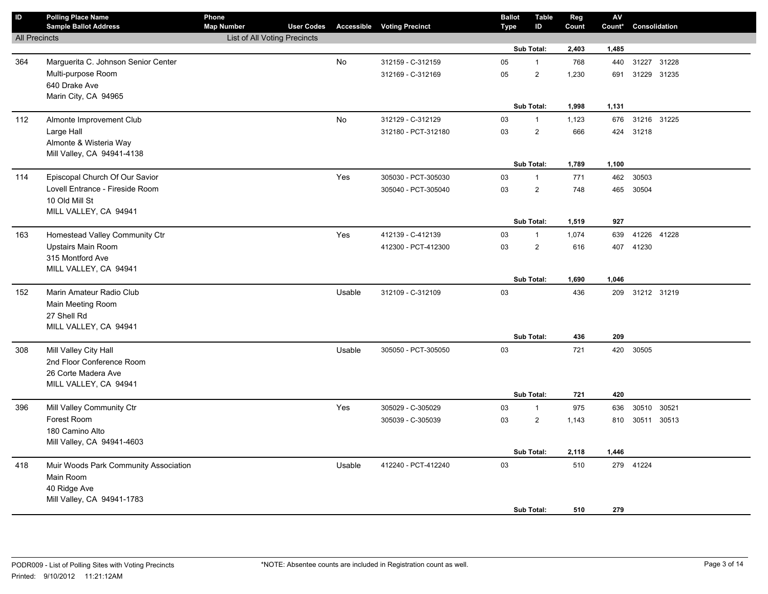| $\sf ID$             | <b>Polling Place Name</b><br><b>Sample Ballot Address</b> | Phone<br><b>Map Number</b>          | <b>User Codes</b> |        | <b>Accessible Voting Precinct</b> | <b>Ballot</b><br><b>Type</b> | <b>Table</b><br>ID | Reg<br>Count | AV<br>Count* | Consolidation   |  |
|----------------------|-----------------------------------------------------------|-------------------------------------|-------------------|--------|-----------------------------------|------------------------------|--------------------|--------------|--------------|-----------------|--|
| <b>All Precincts</b> |                                                           | <b>List of All Voting Precincts</b> |                   |        |                                   |                              |                    |              |              |                 |  |
|                      |                                                           |                                     |                   |        |                                   |                              | Sub Total:         | 2,403        | 1,485        |                 |  |
| 364                  | Marguerita C. Johnson Senior Center                       |                                     |                   | No     | 312159 - C-312159                 | 05                           | $\mathbf{1}$       | 768          | 440          | 31227 31228     |  |
|                      | Multi-purpose Room                                        |                                     |                   |        | 312169 - C-312169                 | 05                           | $\overline{2}$     | 1,230        | 691          | 31229 31235     |  |
|                      | 640 Drake Ave                                             |                                     |                   |        |                                   |                              |                    |              |              |                 |  |
|                      | Marin City, CA 94965                                      |                                     |                   |        |                                   |                              |                    |              |              |                 |  |
|                      |                                                           |                                     |                   |        |                                   |                              | Sub Total:         | 1,998        | 1,131        |                 |  |
| 112                  | Almonte Improvement Club                                  |                                     |                   | No     | 312129 - C-312129                 | 03                           | $\mathbf{1}$       | 1,123        | 676          | 31216 31225     |  |
|                      | Large Hall                                                |                                     |                   |        | 312180 - PCT-312180               | 03                           | $\overline{c}$     | 666          | 424          | 31218           |  |
|                      | Almonte & Wisteria Way                                    |                                     |                   |        |                                   |                              |                    |              |              |                 |  |
|                      | Mill Valley, CA 94941-4138                                |                                     |                   |        |                                   |                              | Sub Total:         | 1,789        | 1,100        |                 |  |
| 114                  | Episcopal Church Of Our Savior                            |                                     |                   | Yes    | 305030 - PCT-305030               | 03                           | $\mathbf{1}$       | 771          | 462          | 30503           |  |
|                      | Lovell Entrance - Fireside Room                           |                                     |                   |        | 305040 - PCT-305040               | 03                           | $\overline{c}$     | 748          | 465          | 30504           |  |
|                      | 10 Old Mill St                                            |                                     |                   |        |                                   |                              |                    |              |              |                 |  |
|                      | MILL VALLEY, CA 94941                                     |                                     |                   |        |                                   |                              |                    |              |              |                 |  |
|                      |                                                           |                                     |                   |        |                                   |                              | Sub Total:         | 1,519        | 927          |                 |  |
| 163                  | Homestead Valley Community Ctr                            |                                     |                   | Yes    | 412139 - C-412139                 | 03                           | $\mathbf{1}$       | 1,074        | 639          | 41226 41228     |  |
|                      | Upstairs Main Room                                        |                                     |                   |        | 412300 - PCT-412300               | 03                           | $\overline{c}$     | 616          |              | 407 41230       |  |
|                      | 315 Montford Ave                                          |                                     |                   |        |                                   |                              |                    |              |              |                 |  |
|                      | MILL VALLEY, CA 94941                                     |                                     |                   |        |                                   |                              |                    |              |              |                 |  |
|                      |                                                           |                                     |                   |        |                                   |                              | Sub Total:         | 1,690        | 1,046        |                 |  |
| 152                  | Marin Amateur Radio Club                                  |                                     |                   | Usable | 312109 - C-312109                 | 03                           |                    | 436          |              | 209 31212 31219 |  |
|                      | Main Meeting Room                                         |                                     |                   |        |                                   |                              |                    |              |              |                 |  |
|                      | 27 Shell Rd<br>MILL VALLEY, CA 94941                      |                                     |                   |        |                                   |                              |                    |              |              |                 |  |
|                      |                                                           |                                     |                   |        |                                   |                              | Sub Total:         | 436          | 209          |                 |  |
| 308                  | Mill Valley City Hall                                     |                                     |                   | Usable | 305050 - PCT-305050               | 03                           |                    | 721          | 420          | 30505           |  |
|                      | 2nd Floor Conference Room                                 |                                     |                   |        |                                   |                              |                    |              |              |                 |  |
|                      | 26 Corte Madera Ave                                       |                                     |                   |        |                                   |                              |                    |              |              |                 |  |
|                      | MILL VALLEY, CA 94941                                     |                                     |                   |        |                                   |                              |                    |              |              |                 |  |
|                      |                                                           |                                     |                   |        |                                   |                              | Sub Total:         | 721          | 420          |                 |  |
| 396                  | Mill Valley Community Ctr                                 |                                     |                   | Yes    | 305029 - C-305029                 | 03                           | $\mathbf{1}$       | 975          | 636          | 30510 30521     |  |
|                      | Forest Room                                               |                                     |                   |        | 305039 - C-305039                 | 03                           | $\overline{2}$     | 1,143        | 810          | 30511 30513     |  |
|                      | 180 Camino Alto                                           |                                     |                   |        |                                   |                              |                    |              |              |                 |  |
|                      | Mill Valley, CA 94941-4603                                |                                     |                   |        |                                   |                              | Sub Total:         | 2,118        | 1,446        |                 |  |
| 418                  | Muir Woods Park Community Association                     |                                     |                   | Usable | 412240 - PCT-412240               | 03                           |                    | 510          |              | 279 41224       |  |
|                      | Main Room                                                 |                                     |                   |        |                                   |                              |                    |              |              |                 |  |
|                      | 40 Ridge Ave                                              |                                     |                   |        |                                   |                              |                    |              |              |                 |  |
|                      | Mill Valley, CA 94941-1783                                |                                     |                   |        |                                   |                              |                    |              |              |                 |  |
|                      |                                                           |                                     |                   |        |                                   |                              | Sub Total:         | 510          | 279          |                 |  |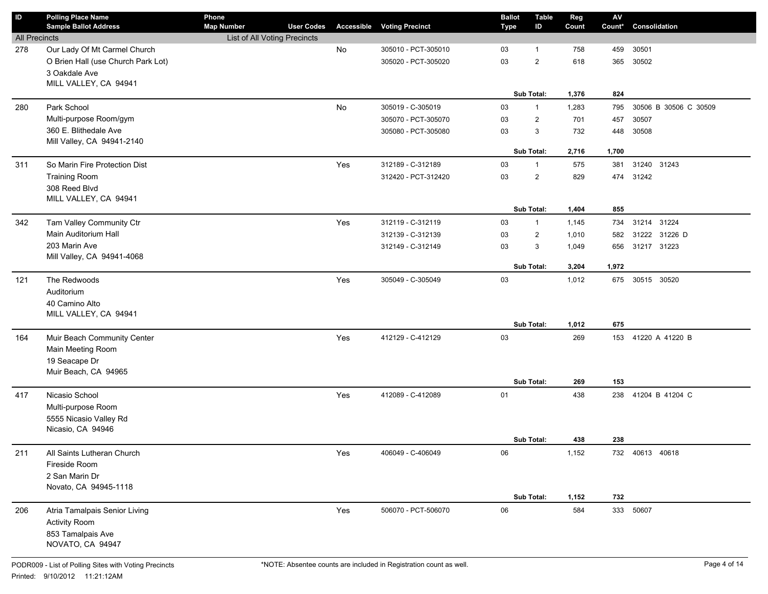| ID                   | <b>Polling Place Name</b>                                          | Phone                        |                   |            |                        | <b>Ballot</b> | <b>Table</b>   | Reg   | $\mathsf{A}\mathsf{V}$ |                       |
|----------------------|--------------------------------------------------------------------|------------------------------|-------------------|------------|------------------------|---------------|----------------|-------|------------------------|-----------------------|
|                      | <b>Sample Ballot Address</b>                                       | <b>Map Number</b>            | <b>User Codes</b> | Accessible | <b>Voting Precinct</b> | Type          | ID             | Count | Count*                 | Consolidation         |
| <b>All Precincts</b> |                                                                    | List of All Voting Precincts |                   |            |                        |               |                |       |                        |                       |
| 278                  | Our Lady Of Mt Carmel Church<br>O Brien Hall (use Church Park Lot) |                              |                   | No         | 305010 - PCT-305010    | 03            | $\mathbf{1}$   | 758   | 459                    | 30501                 |
|                      | 3 Oakdale Ave                                                      |                              |                   |            | 305020 - PCT-305020    | 03            | $\overline{2}$ | 618   | 365                    | 30502                 |
|                      | MILL VALLEY, CA 94941                                              |                              |                   |            |                        |               |                |       |                        |                       |
|                      |                                                                    |                              |                   |            |                        |               | Sub Total:     | 1,376 | 824                    |                       |
| 280                  | Park School                                                        |                              |                   | No         | 305019 - C-305019      | 03            | $\mathbf{1}$   | 1,283 | 795                    | 30506 B 30506 C 30509 |
|                      | Multi-purpose Room/gym                                             |                              |                   |            | 305070 - PCT-305070    | 03            | $\overline{2}$ | 701   | 457                    | 30507                 |
|                      | 360 E. Blithedale Ave                                              |                              |                   |            | 305080 - PCT-305080    | 03            | 3              | 732   | 448                    | 30508                 |
|                      | Mill Valley, CA 94941-2140                                         |                              |                   |            |                        |               |                |       |                        |                       |
|                      |                                                                    |                              |                   |            |                        |               | Sub Total:     | 2,716 | 1,700                  |                       |
| 311                  | So Marin Fire Protection Dist                                      |                              |                   | Yes        | 312189 - C-312189      | 03            | $\mathbf{1}$   | 575   | 381                    | 31240 31243           |
|                      | <b>Training Room</b>                                               |                              |                   |            | 312420 - PCT-312420    | 03            | $\overline{2}$ | 829   | 474                    | 31242                 |
|                      | 308 Reed Blvd                                                      |                              |                   |            |                        |               |                |       |                        |                       |
|                      | MILL VALLEY, CA 94941                                              |                              |                   |            |                        |               |                |       |                        |                       |
|                      |                                                                    |                              |                   |            |                        |               | Sub Total:     | 1,404 | 855                    |                       |
| 342                  | Tam Valley Community Ctr                                           |                              |                   | Yes        | 312119 - C-312119      | 03            | $\mathbf{1}$   | 1,145 | 734                    | 31214 31224           |
|                      | Main Auditorium Hall                                               |                              |                   |            | 312139 - C-312139      | 03            | $\overline{2}$ | 1,010 | 582                    | 31222 31226 D         |
|                      | 203 Marin Ave                                                      |                              |                   |            | 312149 - C-312149      | 03            | 3              | 1,049 | 656                    | 31217 31223           |
|                      | Mill Valley, CA 94941-4068                                         |                              |                   |            |                        |               |                |       |                        |                       |
|                      |                                                                    |                              |                   |            |                        |               | Sub Total:     | 3,204 | 1,972                  |                       |
| 121                  | The Redwoods                                                       |                              |                   | Yes        | 305049 - C-305049      | 03            |                | 1,012 | 675                    | 30515 30520           |
|                      | Auditorium                                                         |                              |                   |            |                        |               |                |       |                        |                       |
|                      | 40 Camino Alto                                                     |                              |                   |            |                        |               |                |       |                        |                       |
|                      | MILL VALLEY, CA 94941                                              |                              |                   |            |                        |               | Sub Total:     | 1,012 | 675                    |                       |
|                      |                                                                    |                              |                   |            |                        |               |                |       |                        |                       |
| 164                  | Muir Beach Community Center<br>Main Meeting Room                   |                              |                   | Yes        | 412129 - C-412129      | 03            |                | 269   |                        | 153 41220 A 41220 B   |
|                      | 19 Seacape Dr                                                      |                              |                   |            |                        |               |                |       |                        |                       |
|                      | Muir Beach, CA 94965                                               |                              |                   |            |                        |               |                |       |                        |                       |
|                      |                                                                    |                              |                   |            |                        |               | Sub Total:     | 269   | 153                    |                       |
| 417                  | Nicasio School                                                     |                              |                   | Yes        | 412089 - C-412089      | 01            |                | 438   | 238                    | 41204 B 41204 C       |
|                      | Multi-purpose Room                                                 |                              |                   |            |                        |               |                |       |                        |                       |
|                      | 5555 Nicasio Valley Rd                                             |                              |                   |            |                        |               |                |       |                        |                       |
|                      | Nicasio, CA 94946                                                  |                              |                   |            |                        |               |                |       |                        |                       |
|                      |                                                                    |                              |                   |            |                        |               | Sub Total:     | 438   | 238                    |                       |
| 211                  | All Saints Lutheran Church                                         |                              |                   | Yes        | 406049 - C-406049      | 06            |                | 1,152 |                        | 732 40613 40618       |
|                      | Fireside Room                                                      |                              |                   |            |                        |               |                |       |                        |                       |
|                      | 2 San Marin Dr                                                     |                              |                   |            |                        |               |                |       |                        |                       |
|                      | Novato, CA 94945-1118                                              |                              |                   |            |                        |               |                |       |                        |                       |
|                      |                                                                    |                              |                   |            |                        |               | Sub Total:     | 1,152 | 732                    |                       |
| 206                  | Atria Tamalpais Senior Living                                      |                              |                   | Yes        | 506070 - PCT-506070    | 06            |                | 584   |                        | 333 50607             |
|                      | <b>Activity Room</b>                                               |                              |                   |            |                        |               |                |       |                        |                       |
|                      | 853 Tamalpais Ave                                                  |                              |                   |            |                        |               |                |       |                        |                       |
|                      | NOVATO, CA 94947                                                   |                              |                   |            |                        |               |                |       |                        |                       |
|                      |                                                                    |                              |                   |            |                        |               |                |       |                        |                       |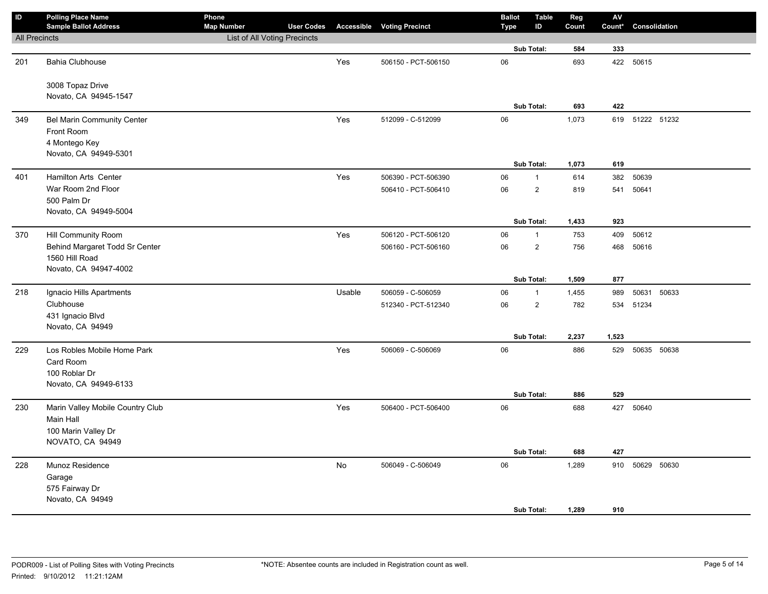| ID                   | <b>Polling Place Name</b><br><b>Sample Ballot Address</b>               | Phone<br><b>Map Number</b>   | <b>User Codes</b> |        | <b>Accessible Voting Precinct</b>          | <b>Ballot</b><br><b>Type</b> | <b>Table</b><br>ID             | Reg<br>Count | ${\sf AV}$<br>Count* | Consolidation   |  |
|----------------------|-------------------------------------------------------------------------|------------------------------|-------------------|--------|--------------------------------------------|------------------------------|--------------------------------|--------------|----------------------|-----------------|--|
| <b>All Precincts</b> |                                                                         | List of All Voting Precincts |                   |        |                                            |                              |                                |              |                      |                 |  |
|                      |                                                                         |                              |                   |        |                                            |                              | Sub Total:                     | 584          | 333                  |                 |  |
| 201                  | <b>Bahia Clubhouse</b>                                                  |                              |                   | Yes    | 506150 - PCT-506150                        | 06                           |                                | 693          | 422                  | 50615           |  |
|                      | 3008 Topaz Drive<br>Novato, CA 94945-1547                               |                              |                   |        |                                            |                              |                                |              |                      |                 |  |
|                      |                                                                         |                              |                   |        |                                            |                              | Sub Total:                     | 693          | 422                  |                 |  |
| 349                  | Bel Marin Community Center<br>Front Room<br>4 Montego Key               |                              |                   | Yes    | 512099 - C-512099                          | 06                           |                                | 1,073        |                      | 619 51222 51232 |  |
|                      | Novato, CA 94949-5301                                                   |                              |                   |        |                                            |                              | Sub Total:                     | 1,073        | 619                  |                 |  |
| 401                  | Hamilton Arts Center                                                    |                              |                   | Yes    | 506390 - PCT-506390                        | 06                           | $\mathbf{1}$                   | 614          | 382                  | 50639           |  |
|                      | War Room 2nd Floor<br>500 Palm Dr<br>Novato, CA 94949-5004              |                              |                   |        | 506410 - PCT-506410                        | 06                           | $\mathbf 2$                    | 819          | 541                  | 50641           |  |
|                      |                                                                         |                              |                   |        |                                            |                              | Sub Total:                     | 1,433        | 923                  |                 |  |
| 370                  | Hill Community Room<br>Behind Margaret Todd Sr Center<br>1560 Hill Road |                              |                   | Yes    | 506120 - PCT-506120<br>506160 - PCT-506160 | 06<br>06                     | $\mathbf{1}$<br>$\overline{2}$ | 753<br>756   | 409<br>468           | 50612<br>50616  |  |
|                      | Novato, CA 94947-4002                                                   |                              |                   |        |                                            |                              | Sub Total:                     | 1,509        | 877                  |                 |  |
| 218                  | Ignacio Hills Apartments                                                |                              |                   | Usable | 506059 - C-506059                          | 06                           | $\mathbf{1}$                   | 1,455        | 989                  | 50631 50633     |  |
|                      | Clubhouse<br>431 Ignacio Blvd                                           |                              |                   |        | 512340 - PCT-512340                        | 06                           | $\mathbf 2$                    | 782          | 534                  | 51234           |  |
|                      | Novato, CA 94949                                                        |                              |                   |        |                                            |                              | Sub Total:                     | 2,237        | 1,523                |                 |  |
| 229                  | Los Robles Mobile Home Park<br>Card Room<br>100 Roblar Dr               |                              |                   | Yes    | 506069 - C-506069                          | 06                           |                                | 886          | 529                  | 50635 50638     |  |
|                      | Novato, CA 94949-6133                                                   |                              |                   |        |                                            |                              | Sub Total:                     | 886          | 529                  |                 |  |
| 230                  | Marin Valley Mobile Country Club<br>Main Hall<br>100 Marin Valley Dr    |                              |                   | Yes    | 506400 - PCT-506400                        | 06                           |                                | 688          | 427                  | 50640           |  |
|                      | NOVATO, CA 94949                                                        |                              |                   |        |                                            |                              | Sub Total:                     | 688          | 427                  |                 |  |
| 228                  | Munoz Residence<br>Garage<br>575 Fairway Dr<br>Novato, CA 94949         |                              |                   | No     | 506049 - C-506049                          | 06                           |                                | 1,289        | 910                  | 50629 50630     |  |
|                      |                                                                         |                              |                   |        |                                            |                              | Sub Total:                     | 1,289        | 910                  |                 |  |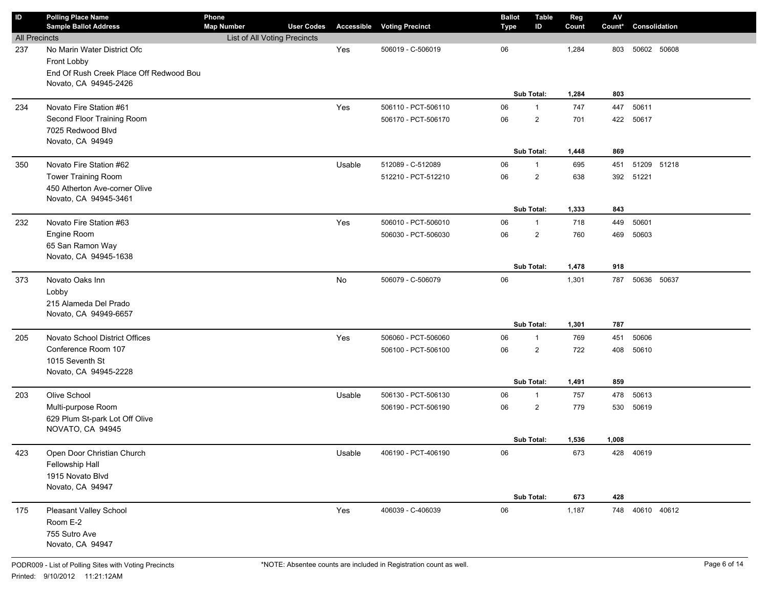| ID                   | <b>Polling Place Name</b>                                        | Phone                        |                   |            |                        | <b>Ballot</b> | Table        | Reg   | ${\sf AV}$ |                 |  |
|----------------------|------------------------------------------------------------------|------------------------------|-------------------|------------|------------------------|---------------|--------------|-------|------------|-----------------|--|
|                      | <b>Sample Ballot Address</b>                                     | <b>Map Number</b>            | <b>User Codes</b> | Accessible | <b>Voting Precinct</b> | <b>Type</b>   | ID           | Count | Count*     | Consolidation   |  |
| <b>All Precincts</b> |                                                                  | List of All Voting Precincts |                   |            |                        |               |              |       |            |                 |  |
| 237                  | No Marin Water District Ofc                                      |                              |                   | Yes        | 506019 - C-506019      | 06            |              | 1,284 | 803        | 50602 50608     |  |
|                      | Front Lobby                                                      |                              |                   |            |                        |               |              |       |            |                 |  |
|                      | End Of Rush Creek Place Off Redwood Bou<br>Novato, CA 94945-2426 |                              |                   |            |                        |               |              |       |            |                 |  |
|                      |                                                                  |                              |                   |            |                        |               | Sub Total:   | 1,284 | 803        |                 |  |
| 234                  | Novato Fire Station #61                                          |                              |                   | Yes        | 506110 - PCT-506110    | 06            | $\mathbf{1}$ | 747   | 447        | 50611           |  |
|                      | Second Floor Training Room                                       |                              |                   |            | 506170 - PCT-506170    | 06            | 2            | 701   | 422        | 50617           |  |
|                      | 7025 Redwood Blvd                                                |                              |                   |            |                        |               |              |       |            |                 |  |
|                      | Novato, CA 94949                                                 |                              |                   |            |                        |               |              |       |            |                 |  |
|                      |                                                                  |                              |                   |            |                        |               | Sub Total:   | 1,448 | 869        |                 |  |
| 350                  | Novato Fire Station #62                                          |                              |                   | Usable     | 512089 - C-512089      | 06            | $\mathbf{1}$ | 695   | 451        | 51209 51218     |  |
|                      | <b>Tower Training Room</b>                                       |                              |                   |            | 512210 - PCT-512210    | 06            | 2            | 638   | 392        | 51221           |  |
|                      | 450 Atherton Ave-corner Olive                                    |                              |                   |            |                        |               |              |       |            |                 |  |
|                      | Novato, CA 94945-3461                                            |                              |                   |            |                        |               |              |       |            |                 |  |
|                      |                                                                  |                              |                   |            |                        |               | Sub Total:   | 1,333 | 843        |                 |  |
| 232                  | Novato Fire Station #63                                          |                              |                   | Yes        | 506010 - PCT-506010    | 06            | $\mathbf{1}$ | 718   | 449        | 50601           |  |
|                      | Engine Room                                                      |                              |                   |            | 506030 - PCT-506030    | 06            | 2            | 760   | 469        | 50603           |  |
|                      | 65 San Ramon Way                                                 |                              |                   |            |                        |               |              |       |            |                 |  |
|                      | Novato, CA 94945-1638                                            |                              |                   |            |                        |               |              |       |            |                 |  |
|                      |                                                                  |                              |                   |            |                        |               | Sub Total:   | 1,478 | 918        |                 |  |
| 373                  | Novato Oaks Inn                                                  |                              |                   | No         | 506079 - C-506079      | 06            |              | 1,301 | 787        | 50636 50637     |  |
|                      | Lobby                                                            |                              |                   |            |                        |               |              |       |            |                 |  |
|                      | 215 Alameda Del Prado                                            |                              |                   |            |                        |               |              |       |            |                 |  |
|                      | Novato, CA 94949-6657                                            |                              |                   |            |                        |               | Sub Total:   | 1,301 | 787        |                 |  |
| 205                  | Novato School District Offices                                   |                              |                   | Yes        | 506060 - PCT-506060    | 06            | $\mathbf{1}$ | 769   | 451        | 50606           |  |
|                      | Conference Room 107                                              |                              |                   |            | 506100 - PCT-506100    | 06            | 2            | 722   | 408        | 50610           |  |
|                      | 1015 Seventh St                                                  |                              |                   |            |                        |               |              |       |            |                 |  |
|                      | Novato, CA 94945-2228                                            |                              |                   |            |                        |               |              |       |            |                 |  |
|                      |                                                                  |                              |                   |            |                        |               | Sub Total:   | 1,491 | 859        |                 |  |
| 203                  | Olive School                                                     |                              |                   | Usable     | 506130 - PCT-506130    | 06            | $\mathbf{1}$ | 757   | 478        | 50613           |  |
|                      | Multi-purpose Room                                               |                              |                   |            | 506190 - PCT-506190    | 06            | 2            | 779   | 530        | 50619           |  |
|                      | 629 Plum St-park Lot Off Olive                                   |                              |                   |            |                        |               |              |       |            |                 |  |
|                      | NOVATO, CA 94945                                                 |                              |                   |            |                        |               |              |       |            |                 |  |
|                      |                                                                  |                              |                   |            |                        |               | Sub Total:   | 1,536 | 1,008      |                 |  |
| 423                  | Open Door Christian Church                                       |                              |                   | Usable     | 406190 - PCT-406190    | 06            |              | 673   |            | 428 40619       |  |
|                      | Fellowship Hall                                                  |                              |                   |            |                        |               |              |       |            |                 |  |
|                      | 1915 Novato Blvd                                                 |                              |                   |            |                        |               |              |       |            |                 |  |
|                      | Novato, CA 94947                                                 |                              |                   |            |                        |               | Sub Total:   | 673   | 428        |                 |  |
|                      |                                                                  |                              |                   |            | 406039 - C-406039      | 06            |              |       |            | 748 40610 40612 |  |
| 175                  | Pleasant Valley School<br>Room E-2                               |                              |                   | Yes        |                        |               |              | 1,187 |            |                 |  |
|                      | 755 Sutro Ave                                                    |                              |                   |            |                        |               |              |       |            |                 |  |
|                      | Novato, CA 94947                                                 |                              |                   |            |                        |               |              |       |            |                 |  |
|                      |                                                                  |                              |                   |            |                        |               |              |       |            |                 |  |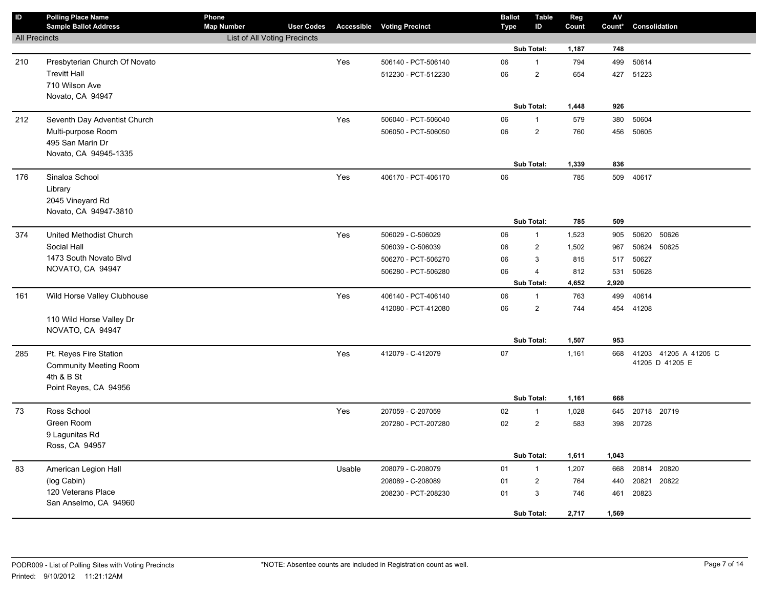| $\sf ID$             | <b>Polling Place Name</b><br><b>Sample Ballot Address</b> | Phone<br><b>Map Number</b>   | <b>User Codes</b> |        | <b>Accessible Voting Precinct</b> | <b>Ballot</b><br><b>Type</b> | <b>Table</b><br>ID | Reg<br>Count | ${\sf AV}$<br>Count* | Consolidation         |
|----------------------|-----------------------------------------------------------|------------------------------|-------------------|--------|-----------------------------------|------------------------------|--------------------|--------------|----------------------|-----------------------|
| <b>All Precincts</b> |                                                           | List of All Voting Precincts |                   |        |                                   |                              |                    |              |                      |                       |
|                      |                                                           |                              |                   |        |                                   |                              | Sub Total:         | 1,187        | 748                  |                       |
| 210                  | Presbyterian Church Of Novato                             |                              |                   | Yes    | 506140 - PCT-506140               | 06                           | $\mathbf{1}$       | 794          | 499                  | 50614                 |
|                      | <b>Trevitt Hall</b>                                       |                              |                   |        | 512230 - PCT-512230               | 06                           | $\overline{2}$     | 654          | 427                  | 51223                 |
|                      | 710 Wilson Ave                                            |                              |                   |        |                                   |                              |                    |              |                      |                       |
|                      | Novato, CA 94947                                          |                              |                   |        |                                   |                              |                    |              |                      |                       |
|                      |                                                           |                              |                   |        |                                   |                              | Sub Total:         | 1,448        | 926                  |                       |
| 212                  | Seventh Day Adventist Church                              |                              |                   | Yes    | 506040 - PCT-506040               | 06                           | $\mathbf{1}$       | 579          | 380                  | 50604                 |
|                      | Multi-purpose Room                                        |                              |                   |        | 506050 - PCT-506050               | 06                           | $\overline{2}$     | 760          | 456                  | 50605                 |
|                      | 495 San Marin Dr                                          |                              |                   |        |                                   |                              |                    |              |                      |                       |
|                      | Novato, CA 94945-1335                                     |                              |                   |        |                                   |                              |                    |              |                      |                       |
|                      |                                                           |                              |                   |        |                                   |                              | Sub Total:         | 1,339        | 836                  |                       |
| 176                  | Sinaloa School                                            |                              |                   | Yes    | 406170 - PCT-406170               | 06                           |                    | 785          | 509                  | 40617                 |
|                      | Library                                                   |                              |                   |        |                                   |                              |                    |              |                      |                       |
|                      | 2045 Vineyard Rd                                          |                              |                   |        |                                   |                              |                    |              |                      |                       |
|                      | Novato, CA 94947-3810                                     |                              |                   |        |                                   |                              | Sub Total:         | 785          | 509                  |                       |
| 374                  | United Methodist Church                                   |                              |                   | Yes    | 506029 - C-506029                 | 06                           | $\mathbf{1}$       | 1,523        | 905                  | 50620<br>50626        |
|                      | Social Hall                                               |                              |                   |        | 506039 - C-506039                 | 06                           | $\overline{2}$     | 1,502        | 967                  | 50624<br>50625        |
|                      | 1473 South Novato Blvd                                    |                              |                   |        | 506270 - PCT-506270               | 06                           | 3                  | 815          | 517                  | 50627                 |
|                      | NOVATO, CA 94947                                          |                              |                   |        | 506280 - PCT-506280               | 06                           | $\overline{4}$     | 812          | 531                  | 50628                 |
|                      |                                                           |                              |                   |        |                                   |                              | Sub Total:         | 4,652        | 2,920                |                       |
| 161                  | Wild Horse Valley Clubhouse                               |                              |                   | Yes    | 406140 - PCT-406140               | 06                           | $\mathbf{1}$       | 763          | 499                  | 40614                 |
|                      |                                                           |                              |                   |        | 412080 - PCT-412080               | 06                           | $\mathbf 2$        | 744          | 454                  | 41208                 |
|                      | 110 Wild Horse Valley Dr                                  |                              |                   |        |                                   |                              |                    |              |                      |                       |
|                      | NOVATO, CA 94947                                          |                              |                   |        |                                   |                              |                    |              |                      |                       |
|                      |                                                           |                              |                   |        |                                   |                              | Sub Total:         | 1,507        | 953                  |                       |
| 285                  | Pt. Reyes Fire Station                                    |                              |                   | Yes    | 412079 - C-412079                 | 07                           |                    | 1,161        | 668                  | 41203 41205 A 41205 C |
|                      | <b>Community Meeting Room</b>                             |                              |                   |        |                                   |                              |                    |              |                      | 41205 D 41205 E       |
|                      | 4th & B St                                                |                              |                   |        |                                   |                              |                    |              |                      |                       |
|                      | Point Reyes, CA 94956                                     |                              |                   |        |                                   |                              |                    |              |                      |                       |
|                      |                                                           |                              |                   |        |                                   |                              | Sub Total:         | 1,161        | 668                  |                       |
| 73                   | Ross School                                               |                              |                   | Yes    | 207059 - C-207059                 | 02                           | $\mathbf{1}$       | 1,028        | 645                  | 20718 20719           |
|                      | Green Room                                                |                              |                   |        | 207280 - PCT-207280               | 02                           | $\overline{2}$     | 583          | 398                  | 20728                 |
|                      | 9 Lagunitas Rd                                            |                              |                   |        |                                   |                              |                    |              |                      |                       |
|                      | Ross, CA 94957                                            |                              |                   |        |                                   |                              |                    |              |                      |                       |
|                      |                                                           |                              |                   |        |                                   |                              | Sub Total:         | 1,611        | 1,043                |                       |
| 83                   | American Legion Hall                                      |                              |                   | Usable | 208079 - C-208079                 | 01                           | $\mathbf{1}$       | 1,207        | 668                  | 20814<br>20820        |
|                      | (log Cabin)                                               |                              |                   |        | 208089 - C-208089                 | 01                           | $\overline{2}$     | 764          | 440                  | 20821<br>20822        |
|                      | 120 Veterans Place<br>San Anselmo, CA 94960               |                              |                   |        | 208230 - PCT-208230               | 01                           | 3                  | 746          | 461                  | 20823                 |
|                      |                                                           |                              |                   |        |                                   |                              | Sub Total:         | 2,717        | 1,569                |                       |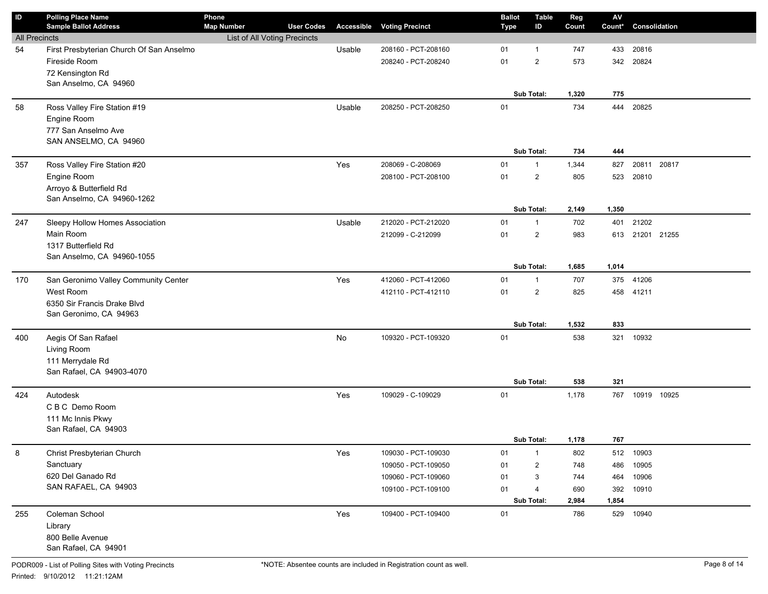| ID                   | <b>Polling Place Name</b><br><b>Sample Ballot Address</b> | Phone<br><b>Map Number</b>   | <b>User Codes</b> | Accessible | <b>Voting Precinct</b> | <b>Ballot</b><br><b>Type</b> | <b>Table</b><br>ID | Reg<br>Count | $\mathsf{A}\mathsf{V}$<br>Count* | Consolidation |  |
|----------------------|-----------------------------------------------------------|------------------------------|-------------------|------------|------------------------|------------------------------|--------------------|--------------|----------------------------------|---------------|--|
| <b>All Precincts</b> |                                                           | List of All Voting Precincts |                   |            |                        |                              |                    |              |                                  |               |  |
| 54                   | First Presbyterian Church Of San Anselmo                  |                              |                   | Usable     | 208160 - PCT-208160    | 01                           | $\mathbf{1}$       | 747          | 433                              | 20816         |  |
|                      | Fireside Room                                             |                              |                   |            | 208240 - PCT-208240    | 01                           | $\overline{2}$     | 573          | 342                              | 20824         |  |
|                      | 72 Kensington Rd                                          |                              |                   |            |                        |                              |                    |              |                                  |               |  |
|                      | San Anselmo, CA 94960                                     |                              |                   |            |                        |                              |                    |              |                                  |               |  |
|                      |                                                           |                              |                   |            |                        |                              | Sub Total:         | 1,320        | 775                              |               |  |
| 58                   | Ross Valley Fire Station #19                              |                              |                   | Usable     | 208250 - PCT-208250    | 01                           |                    | 734          | 444                              | 20825         |  |
|                      | Engine Room                                               |                              |                   |            |                        |                              |                    |              |                                  |               |  |
|                      | 777 San Anselmo Ave                                       |                              |                   |            |                        |                              |                    |              |                                  |               |  |
|                      | SAN ANSELMO, CA 94960                                     |                              |                   |            |                        |                              |                    |              |                                  |               |  |
|                      |                                                           |                              |                   |            |                        |                              | Sub Total:         | 734          | 444                              |               |  |
| 357                  | Ross Valley Fire Station #20                              |                              |                   | Yes        | 208069 - C-208069      | 01                           | $\mathbf{1}$       | 1,344        | 827                              | 20811 20817   |  |
|                      | Engine Room                                               |                              |                   |            | 208100 - PCT-208100    | 01                           | $\overline{2}$     | 805          | 523                              | 20810         |  |
|                      | Arroyo & Butterfield Rd                                   |                              |                   |            |                        |                              |                    |              |                                  |               |  |
|                      | San Anselmo, CA 94960-1262                                |                              |                   |            |                        |                              | Sub Total:         | 2,149        | 1,350                            |               |  |
| 247                  | Sleepy Hollow Homes Association                           |                              |                   | Usable     | 212020 - PCT-212020    | 01                           | $\mathbf{1}$       | 702          | 401                              | 21202         |  |
|                      | Main Room                                                 |                              |                   |            | 212099 - C-212099      | 01                           | $\overline{2}$     | 983          | 613                              | 21201 21255   |  |
|                      | 1317 Butterfield Rd                                       |                              |                   |            |                        |                              |                    |              |                                  |               |  |
|                      | San Anselmo, CA 94960-1055                                |                              |                   |            |                        |                              |                    |              |                                  |               |  |
|                      |                                                           |                              |                   |            |                        |                              | Sub Total:         | 1,685        | 1,014                            |               |  |
| 170                  | San Geronimo Valley Community Center                      |                              |                   | Yes        | 412060 - PCT-412060    | 01                           | $\mathbf{1}$       | 707          |                                  | 375 41206     |  |
|                      | West Room                                                 |                              |                   |            | 412110 - PCT-412110    | 01                           | $\overline{2}$     | 825          |                                  | 458 41211     |  |
|                      | 6350 Sir Francis Drake Blvd                               |                              |                   |            |                        |                              |                    |              |                                  |               |  |
|                      | San Geronimo, CA 94963                                    |                              |                   |            |                        |                              |                    |              |                                  |               |  |
|                      |                                                           |                              |                   |            |                        |                              | Sub Total:         | 1,532        | 833                              |               |  |
| 400                  | Aegis Of San Rafael                                       |                              |                   | No         | 109320 - PCT-109320    | 01                           |                    | 538          |                                  | 321 10932     |  |
|                      | Living Room                                               |                              |                   |            |                        |                              |                    |              |                                  |               |  |
|                      | 111 Merrydale Rd                                          |                              |                   |            |                        |                              |                    |              |                                  |               |  |
|                      | San Rafael, CA 94903-4070                                 |                              |                   |            |                        |                              | Sub Total:         | 538          | 321                              |               |  |
|                      |                                                           |                              |                   |            |                        |                              |                    |              |                                  |               |  |
| 424                  | Autodesk<br>C B C Demo Room                               |                              |                   | Yes        | 109029 - C-109029      | 01                           |                    | 1,178        | 767                              | 10919 10925   |  |
|                      | 111 Mc Innis Pkwy                                         |                              |                   |            |                        |                              |                    |              |                                  |               |  |
|                      | San Rafael, CA 94903                                      |                              |                   |            |                        |                              |                    |              |                                  |               |  |
|                      |                                                           |                              |                   |            |                        |                              | Sub Total:         | 1,178        | 767                              |               |  |
| 8                    | Christ Presbyterian Church                                |                              |                   | Yes        | 109030 - PCT-109030    | 01                           | $\mathbf{1}$       | 802          | 512                              | 10903         |  |
|                      | Sanctuary                                                 |                              |                   |            | 109050 - PCT-109050    | 01                           | 2                  | 748          | 486                              | 10905         |  |
|                      | 620 Del Ganado Rd                                         |                              |                   |            | 109060 - PCT-109060    | 01                           | 3                  | 744          | 464                              | 10906         |  |
|                      | SAN RAFAEL, CA 94903                                      |                              |                   |            | 109100 - PCT-109100    | 01                           | 4                  | 690          | 392                              | 10910         |  |
|                      |                                                           |                              |                   |            |                        |                              | Sub Total:         | 2,984        | 1,854                            |               |  |
| 255                  | Coleman School                                            |                              |                   | Yes        | 109400 - PCT-109400    | 01                           |                    | 786          |                                  | 529 10940     |  |
|                      | Library                                                   |                              |                   |            |                        |                              |                    |              |                                  |               |  |
|                      | 800 Belle Avenue                                          |                              |                   |            |                        |                              |                    |              |                                  |               |  |
|                      | San Rafael, CA 94901                                      |                              |                   |            |                        |                              |                    |              |                                  |               |  |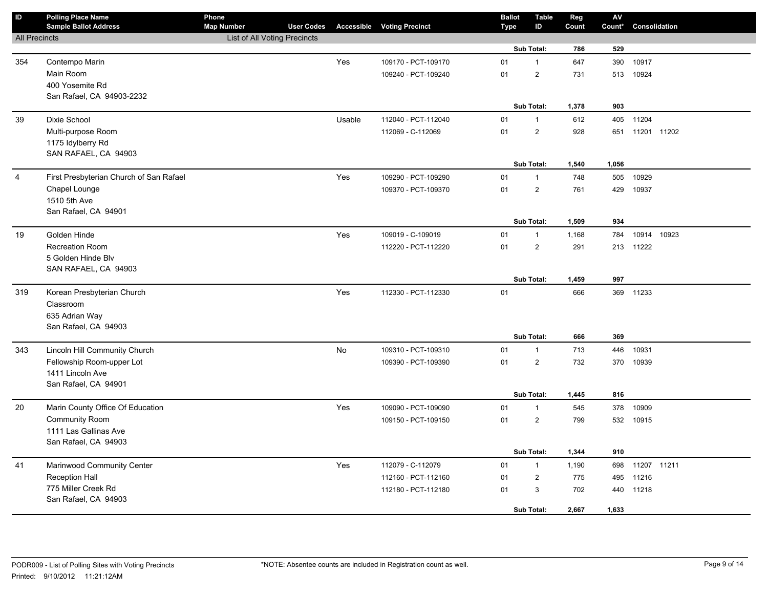| $\mathsf{ID}$        | <b>Polling Place Name</b><br><b>Sample Ballot Address</b> | Phone<br><b>Map Number</b>   | <b>User Codes</b> |        | <b>Accessible Voting Precinct</b> | <b>Ballot</b><br><b>Type</b> | <b>Table</b><br>ID | Reg<br>Count | ${\sf AV}$<br>Count* | Consolidation |       |
|----------------------|-----------------------------------------------------------|------------------------------|-------------------|--------|-----------------------------------|------------------------------|--------------------|--------------|----------------------|---------------|-------|
| <b>All Precincts</b> |                                                           | List of All Voting Precincts |                   |        |                                   |                              |                    |              |                      |               |       |
|                      |                                                           |                              |                   |        |                                   |                              | Sub Total:         | 786          | 529                  |               |       |
| 354                  | Contempo Marin                                            |                              |                   | Yes    | 109170 - PCT-109170               | 01                           | $\mathbf{1}$       | 647          | 390                  | 10917         |       |
|                      | Main Room                                                 |                              |                   |        | 109240 - PCT-109240               | 01                           | $\overline{2}$     | 731          | 513                  | 10924         |       |
|                      | 400 Yosemite Rd                                           |                              |                   |        |                                   |                              |                    |              |                      |               |       |
|                      | San Rafael, CA 94903-2232                                 |                              |                   |        |                                   |                              |                    |              |                      |               |       |
|                      |                                                           |                              |                   |        |                                   |                              | Sub Total:         | 1,378        | 903                  |               |       |
| 39                   | Dixie School                                              |                              |                   | Usable | 112040 - PCT-112040               | 01                           | $\mathbf{1}$       | 612          | 405                  | 11204         |       |
|                      | Multi-purpose Room                                        |                              |                   |        | 112069 - C-112069                 | 01                           | $\overline{2}$     | 928          | 651                  | 11201 11202   |       |
|                      | 1175 Idylberry Rd                                         |                              |                   |        |                                   |                              |                    |              |                      |               |       |
|                      | SAN RAFAEL, CA 94903                                      |                              |                   |        |                                   |                              |                    |              |                      |               |       |
|                      |                                                           |                              |                   |        |                                   |                              | Sub Total:         | 1,540        | 1,056                |               |       |
| $\overline{4}$       | First Presbyterian Church of San Rafael                   |                              |                   | Yes    | 109290 - PCT-109290               | 01                           | $\mathbf{1}$       | 748          | 505                  | 10929         |       |
|                      | Chapel Lounge                                             |                              |                   |        | 109370 - PCT-109370               | 01                           | $\overline{2}$     | 761          | 429                  | 10937         |       |
|                      | 1510 5th Ave                                              |                              |                   |        |                                   |                              |                    |              |                      |               |       |
|                      | San Rafael, CA 94901                                      |                              |                   |        |                                   |                              |                    | 1,509        | 934                  |               |       |
|                      |                                                           |                              |                   |        |                                   |                              | Sub Total:         |              |                      |               |       |
| 19                   | Golden Hinde                                              |                              |                   | Yes    | 109019 - C-109019                 | 01                           | $\mathbf{1}$       | 1,168        | 784                  | 10914         | 10923 |
|                      | <b>Recreation Room</b>                                    |                              |                   |        | 112220 - PCT-112220               | 01                           | $\overline{2}$     | 291          |                      | 213 11222     |       |
|                      | 5 Golden Hinde Blv<br>SAN RAFAEL, CA 94903                |                              |                   |        |                                   |                              |                    |              |                      |               |       |
|                      |                                                           |                              |                   |        |                                   |                              | Sub Total:         | 1,459        | 997                  |               |       |
| 319                  | Korean Presbyterian Church                                |                              |                   | Yes    | 112330 - PCT-112330               | 01                           |                    | 666          |                      | 369 11233     |       |
|                      | Classroom                                                 |                              |                   |        |                                   |                              |                    |              |                      |               |       |
|                      | 635 Adrian Way                                            |                              |                   |        |                                   |                              |                    |              |                      |               |       |
|                      | San Rafael, CA 94903                                      |                              |                   |        |                                   |                              |                    |              |                      |               |       |
|                      |                                                           |                              |                   |        |                                   |                              | Sub Total:         | 666          | 369                  |               |       |
| 343                  | Lincoln Hill Community Church                             |                              |                   | No     | 109310 - PCT-109310               | 01                           | $\mathbf{1}$       | 713          | 446                  | 10931         |       |
|                      | Fellowship Room-upper Lot                                 |                              |                   |        | 109390 - PCT-109390               | 01                           | $\overline{2}$     | 732          | 370                  | 10939         |       |
|                      | 1411 Lincoln Ave                                          |                              |                   |        |                                   |                              |                    |              |                      |               |       |
|                      | San Rafael, CA 94901                                      |                              |                   |        |                                   |                              |                    |              |                      |               |       |
|                      |                                                           |                              |                   |        |                                   |                              | Sub Total:         | 1,445        | 816                  |               |       |
| 20                   | Marin County Office Of Education                          |                              |                   | Yes    | 109090 - PCT-109090               | 01                           | $\mathbf{1}$       | 545          | 378                  | 10909         |       |
|                      | <b>Community Room</b>                                     |                              |                   |        | 109150 - PCT-109150               | 01                           | $\overline{2}$     | 799          | 532                  | 10915         |       |
|                      | 1111 Las Gallinas Ave                                     |                              |                   |        |                                   |                              |                    |              |                      |               |       |
|                      | San Rafael, CA 94903                                      |                              |                   |        |                                   |                              |                    |              |                      |               |       |
|                      |                                                           |                              |                   |        |                                   |                              | Sub Total:         | 1,344        | 910                  |               |       |
| 41                   | Marinwood Community Center                                |                              |                   | Yes    | 112079 - C-112079                 | 01                           | $\mathbf{1}$       | 1,190        | 698                  | 11207 11211   |       |
|                      | Reception Hall                                            |                              |                   |        | 112160 - PCT-112160               | 01                           | $\mathbf 2$        | 775          | 495                  | 11216         |       |
|                      | 775 Miller Creek Rd                                       |                              |                   |        | 112180 - PCT-112180               | 01                           | 3                  | 702          |                      | 440 11218     |       |
|                      | San Rafael, CA 94903                                      |                              |                   |        |                                   |                              |                    |              |                      |               |       |
|                      |                                                           |                              |                   |        |                                   |                              | Sub Total:         | 2,667        | 1,633                |               |       |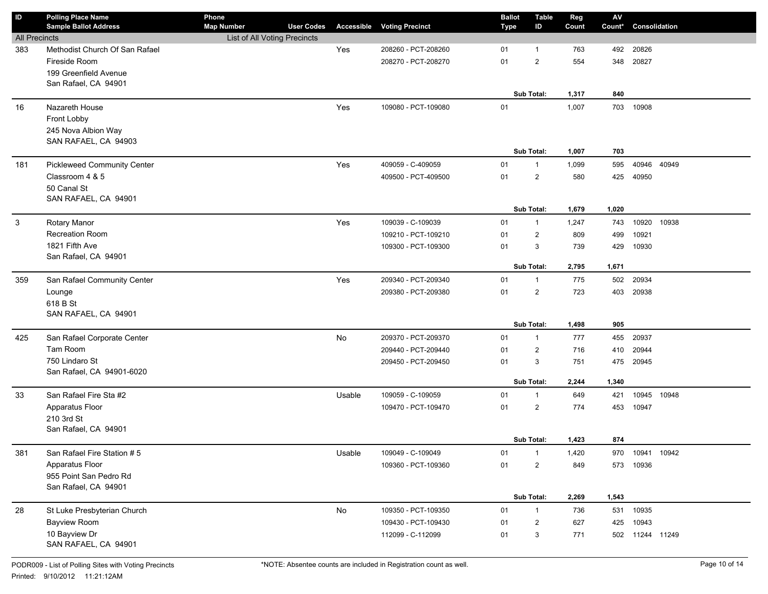| ID                   | <b>Polling Place Name</b><br><b>Sample Ballot Address</b> | Phone<br><b>Map Number</b>   | <b>User Codes</b> | Accessible | <b>Voting Precinct</b> | <b>Ballot</b><br>Type | <b>Table</b><br>ID    | Reg<br>Count | AV<br>Count* | Consolidation   |  |
|----------------------|-----------------------------------------------------------|------------------------------|-------------------|------------|------------------------|-----------------------|-----------------------|--------------|--------------|-----------------|--|
| <b>All Precincts</b> |                                                           | List of All Voting Precincts |                   |            |                        |                       |                       |              |              |                 |  |
| 383                  | Methodist Church Of San Rafael                            |                              |                   | Yes        | 208260 - PCT-208260    | 01                    | $\mathbf{1}$          | 763          | 492          | 20826           |  |
|                      | Fireside Room                                             |                              |                   |            | 208270 - PCT-208270    | 01                    | $\overline{2}$        | 554          | 348          | 20827           |  |
|                      | 199 Greenfield Avenue                                     |                              |                   |            |                        |                       |                       |              |              |                 |  |
|                      | San Rafael, CA 94901                                      |                              |                   |            |                        |                       |                       |              |              |                 |  |
|                      |                                                           |                              |                   |            |                        |                       | <b>Sub Total:</b>     | 1,317        | 840          |                 |  |
| 16                   | Nazareth House                                            |                              |                   | Yes        | 109080 - PCT-109080    | 01                    |                       | 1,007        | 703          | 10908           |  |
|                      | Front Lobby                                               |                              |                   |            |                        |                       |                       |              |              |                 |  |
|                      | 245 Nova Albion Way                                       |                              |                   |            |                        |                       |                       |              |              |                 |  |
|                      | SAN RAFAEL, CA 94903                                      |                              |                   |            |                        |                       | <b>Sub Total:</b>     | 1,007        | 703          |                 |  |
| 181                  | <b>Pickleweed Community Center</b>                        |                              |                   | Yes        | 409059 - C-409059      | 01                    | $\mathbf{1}$          | 1,099        | 595          | 40946 40949     |  |
|                      | Classroom 4 & 5                                           |                              |                   |            | 409500 - PCT-409500    | 01                    | $\overline{2}$        | 580          | 425          | 40950           |  |
|                      | 50 Canal St                                               |                              |                   |            |                        |                       |                       |              |              |                 |  |
|                      | SAN RAFAEL, CA 94901                                      |                              |                   |            |                        |                       |                       |              |              |                 |  |
|                      |                                                           |                              |                   |            |                        |                       | Sub Total:            | 1,679        | 1,020        |                 |  |
| 3                    | Rotary Manor                                              |                              |                   | Yes        | 109039 - C-109039      | 01                    | $\mathbf{1}$          | 1,247        | 743          | 10920<br>10938  |  |
|                      | <b>Recreation Room</b>                                    |                              |                   |            | 109210 - PCT-109210    | 01                    | $\mathbf{2}^{\prime}$ | 809          | 499          | 10921           |  |
|                      | 1821 Fifth Ave                                            |                              |                   |            | 109300 - PCT-109300    | 01                    | 3                     | 739          | 429          | 10930           |  |
|                      | San Rafael, CA 94901                                      |                              |                   |            |                        |                       |                       |              |              |                 |  |
|                      |                                                           |                              |                   |            |                        |                       | Sub Total:            | 2,795        | 1,671        |                 |  |
| 359                  | San Rafael Community Center                               |                              |                   | Yes        | 209340 - PCT-209340    | 01                    | $\mathbf{1}$          | 775          | 502          | 20934           |  |
|                      | Lounge                                                    |                              |                   |            | 209380 - PCT-209380    | 01                    | $\mathbf{2}^{\prime}$ | 723          | 403          | 20938           |  |
|                      | 618 B St                                                  |                              |                   |            |                        |                       |                       |              |              |                 |  |
|                      | SAN RAFAEL, CA 94901                                      |                              |                   |            |                        |                       |                       |              | 905          |                 |  |
|                      |                                                           |                              |                   |            |                        |                       | Sub Total:            | 1,498        |              |                 |  |
| 425                  | San Rafael Corporate Center<br>Tam Room                   |                              |                   | No         | 209370 - PCT-209370    | 01                    | $\mathbf{1}$          | 777          | 455          | 20937           |  |
|                      | 750 Lindaro St                                            |                              |                   |            | 209440 - PCT-209440    | 01                    | $\overline{2}$        | 716          | 410          | 20944           |  |
|                      | San Rafael, CA 94901-6020                                 |                              |                   |            | 209450 - PCT-209450    | 01                    | 3                     | 751          | 475          | 20945           |  |
|                      |                                                           |                              |                   |            |                        |                       | Sub Total:            | 2,244        | 1,340        |                 |  |
| 33                   | San Rafael Fire Sta #2                                    |                              |                   | Usable     | 109059 - C-109059      | 01                    | $\mathbf{1}$          | 649          | 421          | 10945<br>10948  |  |
|                      | Apparatus Floor                                           |                              |                   |            | 109470 - PCT-109470    | 01                    | $\overline{2}$        | 774          | 453          | 10947           |  |
|                      | 210 3rd St                                                |                              |                   |            |                        |                       |                       |              |              |                 |  |
|                      | San Rafael, CA 94901                                      |                              |                   |            |                        |                       |                       |              |              |                 |  |
|                      |                                                           |                              |                   |            |                        |                       | <b>Sub Total:</b>     | 1,423        | 874          |                 |  |
| 381                  | San Rafael Fire Station #5                                |                              |                   | Usable     | 109049 - C-109049      | 01                    | $\mathbf{1}$          | 1,420        | 970          | 10941<br>10942  |  |
|                      | Apparatus Floor                                           |                              |                   |            | 109360 - PCT-109360    | 01                    | $\overline{2}$        | 849          |              | 573 10936       |  |
|                      | 955 Point San Pedro Rd                                    |                              |                   |            |                        |                       |                       |              |              |                 |  |
|                      | San Rafael, CA 94901                                      |                              |                   |            |                        |                       |                       |              |              |                 |  |
|                      |                                                           |                              |                   |            |                        |                       | Sub Total:            | 2,269        | 1,543        |                 |  |
| 28                   | St Luke Presbyterian Church                               |                              |                   | No         | 109350 - PCT-109350    | 01                    | $\mathbf{1}$          | 736          |              | 531 10935       |  |
|                      | <b>Bayview Room</b>                                       |                              |                   |            | 109430 - PCT-109430    | 01                    | $\overline{2}$        | 627          |              | 425 10943       |  |
|                      | 10 Bayview Dr<br>SAN RAFAEL, CA 94901                     |                              |                   |            | 112099 - C-112099      | 01                    | 3                     | 771          |              | 502 11244 11249 |  |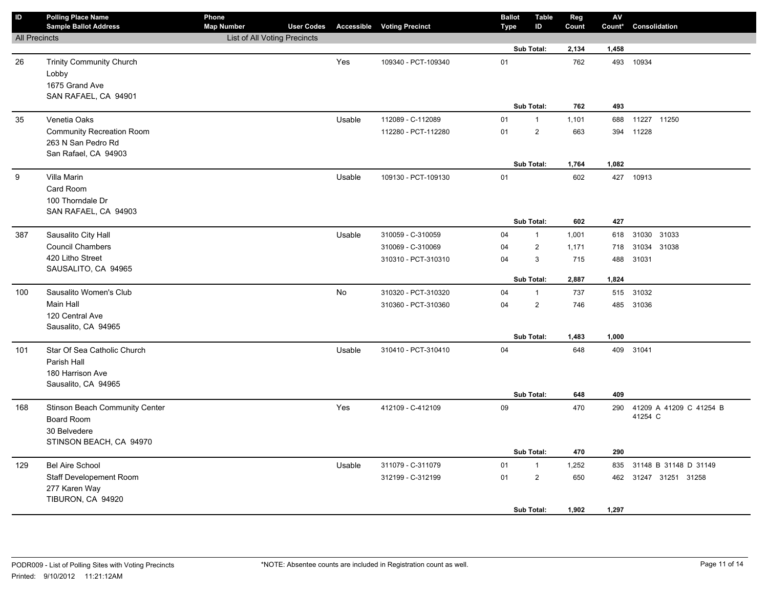| $\mathsf{ID}$        | <b>Polling Place Name</b><br><b>Sample Ballot Address</b>  | Phone<br><b>Map Number</b>   | <b>User Codes</b> |           | <b>Accessible Voting Precinct</b> | <b>Ballot</b><br>Type | <b>Table</b><br>ID      | Reg<br>Count | ${\sf AV}$<br>Count* | Consolidation               |
|----------------------|------------------------------------------------------------|------------------------------|-------------------|-----------|-----------------------------------|-----------------------|-------------------------|--------------|----------------------|-----------------------------|
| <b>All Precincts</b> |                                                            | List of All Voting Precincts |                   |           |                                   |                       |                         |              |                      |                             |
|                      |                                                            |                              |                   |           |                                   |                       | Sub Total:              | 2,134        | 1,458                |                             |
| 26                   | <b>Trinity Community Church</b><br>Lobby<br>1675 Grand Ave |                              |                   | Yes       | 109340 - PCT-109340               | 01                    |                         | 762          |                      | 493 10934                   |
|                      | SAN RAFAEL, CA 94901                                       |                              |                   |           |                                   |                       | Sub Total:              | 762          | 493                  |                             |
| 35                   | Venetia Oaks                                               |                              |                   | Usable    | 112089 - C-112089                 | 01                    | $\mathbf{1}$            | 1,101        | 688                  | 11227 11250                 |
|                      | <b>Community Recreation Room</b>                           |                              |                   |           | 112280 - PCT-112280               | 01                    |                         | 663          | 394                  | 11228                       |
|                      | 263 N San Pedro Rd                                         |                              |                   |           |                                   |                       | $\overline{\mathbf{c}}$ |              |                      |                             |
|                      | San Rafael, CA 94903                                       |                              |                   |           |                                   |                       |                         |              |                      |                             |
|                      |                                                            |                              |                   |           |                                   |                       | Sub Total:              | 1,764        | 1,082                |                             |
| 9                    | Villa Marin                                                |                              |                   | Usable    | 109130 - PCT-109130               | 01                    |                         | 602          |                      | 427 10913                   |
|                      | Card Room                                                  |                              |                   |           |                                   |                       |                         |              |                      |                             |
|                      | 100 Thorndale Dr                                           |                              |                   |           |                                   |                       |                         |              |                      |                             |
|                      | SAN RAFAEL, CA 94903                                       |                              |                   |           |                                   |                       |                         |              |                      |                             |
|                      |                                                            |                              |                   |           |                                   |                       | Sub Total:              | 602          | 427                  |                             |
| 387                  | Sausalito City Hall                                        |                              |                   | Usable    | 310059 - C-310059                 | 04                    | $\mathbf{1}$            | 1,001        | 618                  | 31030 31033                 |
|                      | <b>Council Chambers</b>                                    |                              |                   |           | 310069 - C-310069                 | 04                    | $\overline{2}$          | 1,171        | 718                  | 31034 31038                 |
|                      | 420 Litho Street                                           |                              |                   |           | 310310 - PCT-310310               | 04                    | 3                       | 715          | 488                  | 31031                       |
|                      | SAUSALITO, CA 94965                                        |                              |                   |           |                                   |                       | Sub Total:              | 2,887        | 1,824                |                             |
| 100                  | Sausalito Women's Club                                     |                              |                   | <b>No</b> | 310320 - PCT-310320               | 04                    | $\mathbf{1}$            | 737          | 515                  | 31032                       |
|                      | Main Hall                                                  |                              |                   |           | 310360 - PCT-310360               | 04                    | $\overline{c}$          | 746          | 485                  | 31036                       |
|                      | 120 Central Ave                                            |                              |                   |           |                                   |                       |                         |              |                      |                             |
|                      | Sausalito, CA 94965                                        |                              |                   |           |                                   |                       |                         |              |                      |                             |
|                      |                                                            |                              |                   |           |                                   |                       | Sub Total:              | 1,483        | 1,000                |                             |
| 101                  | Star Of Sea Catholic Church                                |                              |                   | Usable    | 310410 - PCT-310410               | 04                    |                         | 648          |                      | 409 31041                   |
|                      | Parish Hall                                                |                              |                   |           |                                   |                       |                         |              |                      |                             |
|                      | 180 Harrison Ave                                           |                              |                   |           |                                   |                       |                         |              |                      |                             |
|                      | Sausalito, CA 94965                                        |                              |                   |           |                                   |                       |                         |              |                      |                             |
|                      |                                                            |                              |                   |           |                                   |                       | Sub Total:              | 648          | 409                  |                             |
| 168                  | Stinson Beach Community Center                             |                              |                   | Yes       | 412109 - C-412109                 | 09                    |                         | 470          |                      | 290 41209 A 41209 C 41254 B |
|                      | Board Room                                                 |                              |                   |           |                                   |                       |                         |              |                      | 41254 C                     |
|                      | 30 Belvedere                                               |                              |                   |           |                                   |                       |                         |              |                      |                             |
|                      | STINSON BEACH, CA 94970                                    |                              |                   |           |                                   |                       | Sub Total:              | 470          | 290                  |                             |
| 129                  | <b>Bel Aire School</b>                                     |                              |                   | Usable    | 311079 - C-311079                 | 01                    | $\mathbf{1}$            | 1,252        | 835                  | 31148 B 31148 D 31149       |
|                      | Staff Developement Room                                    |                              |                   |           | 312199 - C-312199                 | 01                    | $\overline{2}$          | 650          |                      | 462 31247 31251 31258       |
|                      | 277 Karen Way                                              |                              |                   |           |                                   |                       |                         |              |                      |                             |
|                      | TIBURON, CA 94920                                          |                              |                   |           |                                   |                       |                         |              |                      |                             |
|                      |                                                            |                              |                   |           |                                   |                       | Sub Total:              | 1,902        | 1,297                |                             |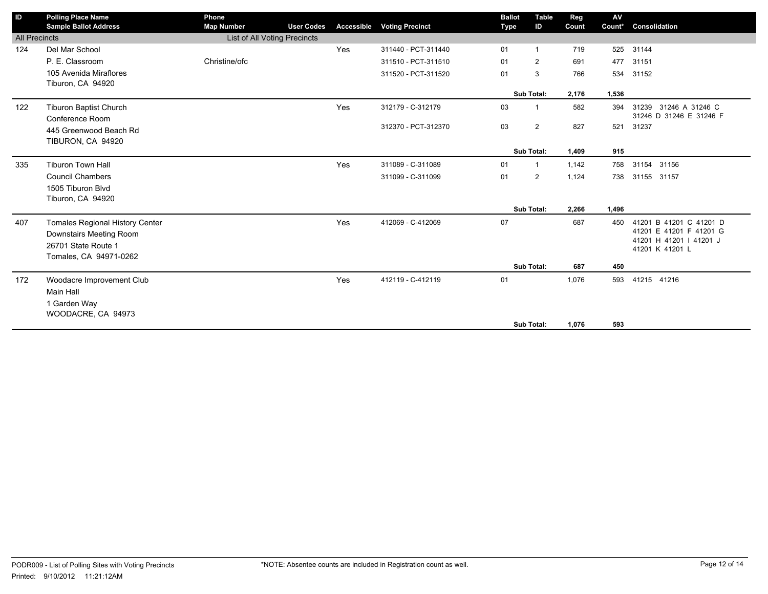| ID                   | <b>Polling Place Name</b>                                                                                          | Phone                                             |                   |                   |                                            | <b>Ballot</b> | <b>Table</b>         | Reg        | AV         |                                                                                                  |
|----------------------|--------------------------------------------------------------------------------------------------------------------|---------------------------------------------------|-------------------|-------------------|--------------------------------------------|---------------|----------------------|------------|------------|--------------------------------------------------------------------------------------------------|
| <b>All Precincts</b> | <b>Sample Ballot Address</b>                                                                                       | <b>Map Number</b><br>List of All Voting Precincts | <b>User Codes</b> | <b>Accessible</b> | <b>Voting Precinct</b>                     | <b>Type</b>   | ID                   | Count      | Count*     | Consolidation                                                                                    |
| 124                  | Del Mar School<br>P. E. Classroom                                                                                  | Christine/ofc                                     |                   | Yes               | 311440 - PCT-311440<br>311510 - PCT-311510 | 01<br>01      | -1<br>$\overline{2}$ | 719<br>691 | 525<br>477 | 31144<br>31151                                                                                   |
|                      | 105 Avenida Miraflores<br>Tiburon, CA 94920                                                                        |                                                   |                   |                   | 311520 - PCT-311520                        | 01            | 3                    | 766        | 534        | 31152                                                                                            |
|                      |                                                                                                                    |                                                   |                   |                   |                                            |               | Sub Total:           | 2,176      | 1,536      |                                                                                                  |
| 122                  | <b>Tiburon Baptist Church</b><br>Conference Room                                                                   |                                                   |                   | Yes               | 312179 - C-312179                          | 03            |                      | 582        | 394        | 31239 31246 A 31246 C<br>31246 D 31246 E 31246 F                                                 |
|                      | 445 Greenwood Beach Rd<br>TIBURON, CA 94920                                                                        |                                                   |                   |                   | 312370 - PCT-312370                        | 03            | 2                    | 827        | 521        | 31237                                                                                            |
|                      |                                                                                                                    |                                                   |                   |                   |                                            |               | Sub Total:           | 1,409      | 915        |                                                                                                  |
| 335                  | <b>Tiburon Town Hall</b>                                                                                           |                                                   |                   | Yes               | 311089 - C-311089                          | 01            | 1                    | 1,142      | 758        | 31154 31156                                                                                      |
|                      | <b>Council Chambers</b>                                                                                            |                                                   |                   |                   | 311099 - C-311099                          | 01            | $\overline{2}$       | 1,124      | 738        | 31155 31157                                                                                      |
|                      | 1505 Tiburon Blvd                                                                                                  |                                                   |                   |                   |                                            |               |                      |            |            |                                                                                                  |
|                      | Tiburon, CA 94920                                                                                                  |                                                   |                   |                   |                                            |               | Sub Total:           | 2,266      | 1,496      |                                                                                                  |
| 407                  | <b>Tomales Regional History Center</b><br>Downstairs Meeting Room<br>26701 State Route 1<br>Tomales, CA 94971-0262 |                                                   |                   | Yes               | 412069 - C-412069                          | 07            |                      | 687        | 450        | 41201 B 41201 C 41201 D<br>41201 E 41201 F 41201 G<br>41201 H 41201   41201 J<br>41201 K 41201 L |
|                      |                                                                                                                    |                                                   |                   |                   |                                            |               | Sub Total:           | 687        | 450        |                                                                                                  |
| 172                  | Woodacre Improvement Club<br>Main Hall                                                                             |                                                   |                   | Yes               | 412119 - C-412119                          | 01            |                      | 1,076      | 593        | 41215 41216                                                                                      |
|                      | 1 Garden Way<br>WOODACRE, CA 94973                                                                                 |                                                   |                   |                   |                                            |               |                      |            |            |                                                                                                  |
|                      |                                                                                                                    |                                                   |                   |                   |                                            |               | Sub Total:           | 1,076      | 593        |                                                                                                  |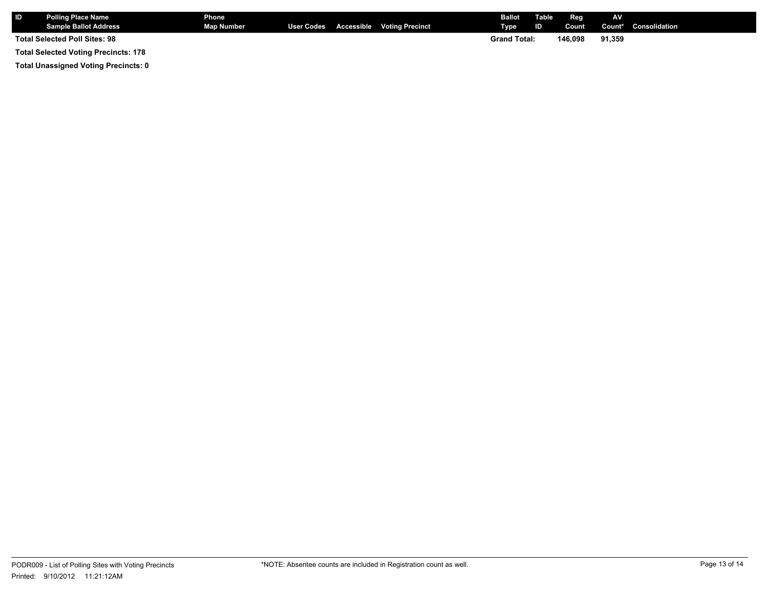| <b>IID</b>                                  | <b>Polling Place Name</b><br><b>Sample Ballot Address</b> | Phone<br><b>Map Number</b> |  |  | User Codes Accessible Voting Precinct | <b>Ballot</b><br>Type | Table<br>ID | Reg<br>Count | AV     | <b>Count*</b> Consolidation |
|---------------------------------------------|-----------------------------------------------------------|----------------------------|--|--|---------------------------------------|-----------------------|-------------|--------------|--------|-----------------------------|
|                                             | Total Selected Poll Sites: 98                             |                            |  |  |                                       | <b>Grand Total:</b>   |             | 146.098      | 91,359 |                             |
| <b>Total Selected Voting Precincts: 178</b> |                                                           |                            |  |  |                                       |                       |             |              |        |                             |

**Total Unassigned Voting Precincts: 0**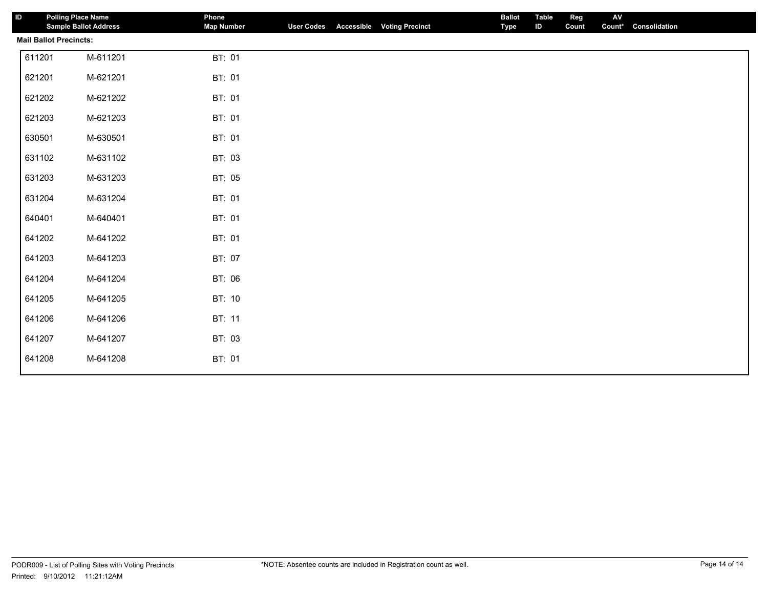| ID                            | <b>Polling Place Name</b><br><b>Sample Ballot Address</b> | Phone<br><b>Map Number</b> | User Codes Accessible Voting Precinct | <b>Ballot</b><br>Type | <b>Table</b><br>ID | Reg<br>Count | AV | Count* Consolidation |
|-------------------------------|-----------------------------------------------------------|----------------------------|---------------------------------------|-----------------------|--------------------|--------------|----|----------------------|
| <b>Mail Ballot Precincts:</b> |                                                           |                            |                                       |                       |                    |              |    |                      |
| 611201                        | M-611201                                                  | BT: 01                     |                                       |                       |                    |              |    |                      |
| 621201                        | M-621201                                                  | BT: 01                     |                                       |                       |                    |              |    |                      |
| 621202                        | M-621202                                                  | BT: 01                     |                                       |                       |                    |              |    |                      |
| 621203                        | M-621203                                                  | BT: 01                     |                                       |                       |                    |              |    |                      |
| 630501                        | M-630501                                                  | BT: 01                     |                                       |                       |                    |              |    |                      |
| 631102                        | M-631102                                                  | BT: 03                     |                                       |                       |                    |              |    |                      |
| 631203                        | M-631203                                                  | BT: 05                     |                                       |                       |                    |              |    |                      |
| 631204                        | M-631204                                                  | BT: 01                     |                                       |                       |                    |              |    |                      |
| 640401                        | M-640401                                                  | BT: 01                     |                                       |                       |                    |              |    |                      |
| 641202                        | M-641202                                                  | BT: 01                     |                                       |                       |                    |              |    |                      |
| 641203                        | M-641203                                                  | BT: 07                     |                                       |                       |                    |              |    |                      |
| 641204                        | M-641204                                                  | BT: 06                     |                                       |                       |                    |              |    |                      |
| 641205                        | M-641205                                                  | BT: 10                     |                                       |                       |                    |              |    |                      |
| 641206                        | M-641206                                                  | BT: 11                     |                                       |                       |                    |              |    |                      |
| 641207                        | M-641207                                                  | BT: 03                     |                                       |                       |                    |              |    |                      |
| 641208                        | M-641208                                                  | BT: 01                     |                                       |                       |                    |              |    |                      |

×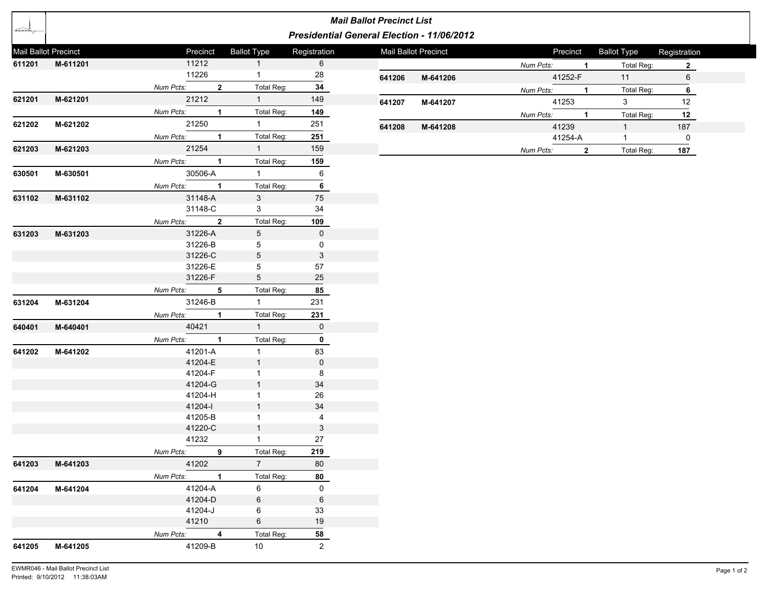|        |                      |                    |                          |                               |                           | <b>Mail Ballot Precinct List</b>                  |                      |           |                      |                    |              |
|--------|----------------------|--------------------|--------------------------|-------------------------------|---------------------------|---------------------------------------------------|----------------------|-----------|----------------------|--------------------|--------------|
| ada (  |                      |                    |                          |                               |                           | <b>Presidential General Election - 11/06/2012</b> |                      |           |                      |                    |              |
|        | Mail Ballot Precinct | Precinct           |                          | <b>Ballot Type</b>            | Registration              |                                                   | Mail Ballot Precinct | Precinct  |                      | <b>Ballot Type</b> | Registration |
| 611201 | M-611201             | 11212              |                          | $\mathbf{1}$                  | 6                         |                                                   |                      | Num Pcts: | $\mathbf{1}$         | Total Reg:         | $\mathbf{2}$ |
|        |                      | 11226              |                          | $\mathbf{1}$                  | 28                        | 641206                                            | M-641206             | 41252-F   |                      | 11                 | 6            |
|        |                      | Num Pcts:          | $\overline{2}$           | Total Reg:                    | 34                        |                                                   |                      | Num Pcts: | $\blacktriangleleft$ | Total Reg:         | 6            |
| 621201 | M-621201             | 21212              |                          | $\mathbf{1}$                  | 149                       | 641207                                            | M-641207             | 41253     |                      | $\mathbf{3}$       | 12           |
|        |                      | Num Pcts:          | $\mathbf{1}$             | Total Reg:                    | 149                       |                                                   |                      | Num Pcts: | $\mathbf{1}$         | Total Reg:         | 12           |
| 621202 | M-621202             | 21250              |                          | $\mathbf{1}$                  | 251                       | 641208                                            | M-641208             | 41239     |                      | $\mathbf{1}$       | 187          |
|        |                      | Num Pcts:          | $\mathbf{1}$             | Total Reg:                    | 251                       |                                                   |                      | 41254-A   |                      | $\mathbf{1}$       | 0            |
| 621203 | M-621203             | 21254              |                          | 1                             | 159                       |                                                   |                      | Num Pcts: | $\mathbf{2}$         | Total Reg:         | 187          |
|        |                      | Num Pcts:          | $\overline{1}$           | Total Reg:                    | 159                       |                                                   |                      |           |                      |                    |              |
| 630501 | M-630501             | 30506-A            |                          | $\mathbf{1}$                  | 6                         |                                                   |                      |           |                      |                    |              |
|        |                      | Num Pcts:          | $\overline{1}$           | <b>Total Reg:</b>             | 6                         |                                                   |                      |           |                      |                    |              |
| 631102 | M-631102             | 31148-A            |                          | $\mathbf{3}$                  | 75                        |                                                   |                      |           |                      |                    |              |
|        |                      | 31148-C            |                          | 3                             | 34                        |                                                   |                      |           |                      |                    |              |
|        |                      | Num Pcts:          | $\overline{2}$           | Total Reg:                    | 109                       |                                                   |                      |           |                      |                    |              |
| 631203 | M-631203             | 31226-A            |                          | 5                             | $\mathbf 0$               |                                                   |                      |           |                      |                    |              |
|        |                      | 31226-B            |                          | 5                             | 0                         |                                                   |                      |           |                      |                    |              |
|        |                      | 31226-C            |                          | 5                             | $\ensuremath{\mathsf{3}}$ |                                                   |                      |           |                      |                    |              |
|        |                      | 31226-E            |                          | 5                             | 57                        |                                                   |                      |           |                      |                    |              |
|        |                      | 31226-F            |                          | 5                             | 25                        |                                                   |                      |           |                      |                    |              |
|        |                      | Num Pcts:          | 5                        | Total Reg:                    | 85                        |                                                   |                      |           |                      |                    |              |
| 631204 | M-631204             | 31246-B            |                          | $\mathbf{1}$                  | 231                       |                                                   |                      |           |                      |                    |              |
|        |                      | Num Pcts:          | $\overline{1}$           | <b>Total Reg:</b>             | 231                       |                                                   |                      |           |                      |                    |              |
| 640401 | M-640401             | 40421              |                          | 1                             | $\mathbf 0$               |                                                   |                      |           |                      |                    |              |
|        |                      | Num Pcts:          | $\overline{1}$           | Total Reg:                    | $\mathbf 0$               |                                                   |                      |           |                      |                    |              |
| 641202 | M-641202             | 41201-A<br>41204-E |                          | $\mathbf{1}$<br>$\mathbf{1}$  | 83<br>$\mathbf 0$         |                                                   |                      |           |                      |                    |              |
|        |                      | 41204-F            |                          | $\mathbf{1}$                  | 8                         |                                                   |                      |           |                      |                    |              |
|        |                      | 41204-G            |                          | $\mathbf{1}$                  | 34                        |                                                   |                      |           |                      |                    |              |
|        |                      | 41204-H            |                          | $\mathbf{1}$                  | 26                        |                                                   |                      |           |                      |                    |              |
|        |                      | 41204-l            |                          | $\mathbf{1}$                  | 34                        |                                                   |                      |           |                      |                    |              |
|        |                      | 41205-B            |                          | 1                             | 4                         |                                                   |                      |           |                      |                    |              |
|        |                      | 41220-C            |                          | $\mathbf{1}$                  | $\ensuremath{\mathsf{3}}$ |                                                   |                      |           |                      |                    |              |
|        |                      | 41232              |                          | $\mathbf{1}$                  | 27                        |                                                   |                      |           |                      |                    |              |
|        |                      | Num Pcts:          | $\overline{\phantom{a}}$ | Total Reg:                    | 219                       |                                                   |                      |           |                      |                    |              |
| 641203 | M-641203             | 41202              |                          | 7 <sup>7</sup>                | 80                        |                                                   |                      |           |                      |                    |              |
|        |                      | Num Pcts: 1        |                          | Total Reg:                    | 80                        |                                                   |                      |           |                      |                    |              |
| 641204 | M-641204             | 41204-A            |                          | $6\overline{6}$               | $\overline{0}$            |                                                   |                      |           |                      |                    |              |
|        |                      | 41204-D            |                          | 6                             | 6                         |                                                   |                      |           |                      |                    |              |
|        |                      | 41204-J            |                          | 6                             | 33                        |                                                   |                      |           |                      |                    |              |
|        |                      | 41210              |                          | $6\overline{6}$               | 19                        |                                                   |                      |           |                      |                    |              |
|        |                      | Num Pcts: 4        |                          | Total Reg:<br>10 <sup>1</sup> | 58                        |                                                   |                      |           |                      |                    |              |
| 641205 | M-641205             | 41209-B            |                          |                               | $\overline{2}$            |                                                   |                      |           |                      |                    |              |

 $\Gamma$ 

┱